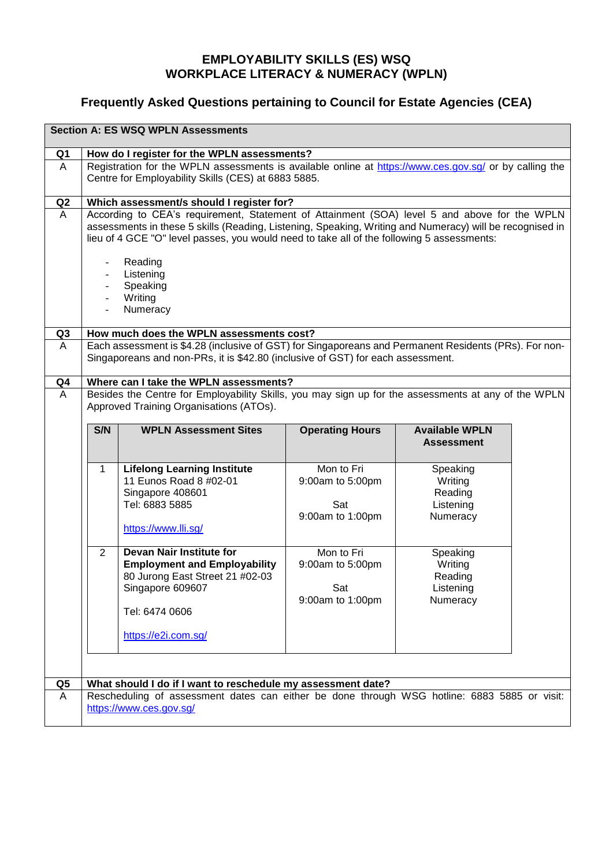## **EMPLOYABILITY SKILLS (ES) WSQ WORKPLACE LITERACY & NUMERACY (WPLN)**

## **Frequently Asked Questions pertaining to Council for Estate Agencies (CEA)**

| <b>Section A: ES WSQ WPLN Assessments</b> |                                                                                                        |                                                                                                                                                                                          |                        |                       |  |  |
|-------------------------------------------|--------------------------------------------------------------------------------------------------------|------------------------------------------------------------------------------------------------------------------------------------------------------------------------------------------|------------------------|-----------------------|--|--|
| Q <sub>1</sub>                            | How do I register for the WPLN assessments?                                                            |                                                                                                                                                                                          |                        |                       |  |  |
| A                                         | Registration for the WPLN assessments is available online at https://www.ces.gov.sg/ or by calling the |                                                                                                                                                                                          |                        |                       |  |  |
|                                           |                                                                                                        | Centre for Employability Skills (CES) at 6883 5885.                                                                                                                                      |                        |                       |  |  |
| Q <sub>2</sub>                            |                                                                                                        | Which assessment/s should I register for?                                                                                                                                                |                        |                       |  |  |
| A                                         |                                                                                                        | According to CEA's requirement, Statement of Attainment (SOA) level 5 and above for the WPLN                                                                                             |                        |                       |  |  |
|                                           |                                                                                                        | assessments in these 5 skills (Reading, Listening, Speaking, Writing and Numeracy) will be recognised in                                                                                 |                        |                       |  |  |
|                                           |                                                                                                        | lieu of 4 GCE "O" level passes, you would need to take all of the following 5 assessments:                                                                                               |                        |                       |  |  |
|                                           |                                                                                                        | Reading                                                                                                                                                                                  |                        |                       |  |  |
|                                           |                                                                                                        | Listening                                                                                                                                                                                |                        |                       |  |  |
|                                           |                                                                                                        | Speaking                                                                                                                                                                                 |                        |                       |  |  |
|                                           |                                                                                                        | Writing                                                                                                                                                                                  |                        |                       |  |  |
|                                           |                                                                                                        | Numeracy                                                                                                                                                                                 |                        |                       |  |  |
|                                           |                                                                                                        |                                                                                                                                                                                          |                        |                       |  |  |
| Q3<br>A                                   |                                                                                                        | How much does the WPLN assessments cost?                                                                                                                                                 |                        |                       |  |  |
|                                           |                                                                                                        | Each assessment is \$4.28 (inclusive of GST) for Singaporeans and Permanent Residents (PRs). For non-<br>Singaporeans and non-PRs, it is \$42.80 (inclusive of GST) for each assessment. |                        |                       |  |  |
|                                           |                                                                                                        |                                                                                                                                                                                          |                        |                       |  |  |
| Q <sub>4</sub>                            |                                                                                                        | Where can I take the WPLN assessments?                                                                                                                                                   |                        |                       |  |  |
| A                                         |                                                                                                        | Besides the Centre for Employability Skills, you may sign up for the assessments at any of the WPLN                                                                                      |                        |                       |  |  |
|                                           |                                                                                                        | Approved Training Organisations (ATOs).                                                                                                                                                  |                        |                       |  |  |
|                                           |                                                                                                        | <b>WPLN Assessment Sites</b>                                                                                                                                                             |                        |                       |  |  |
|                                           | S/N                                                                                                    |                                                                                                                                                                                          | <b>Operating Hours</b> | <b>Available WPLN</b> |  |  |
|                                           |                                                                                                        |                                                                                                                                                                                          |                        |                       |  |  |
|                                           |                                                                                                        |                                                                                                                                                                                          |                        | <b>Assessment</b>     |  |  |
|                                           |                                                                                                        |                                                                                                                                                                                          |                        |                       |  |  |
|                                           | 1                                                                                                      | <b>Lifelong Learning Institute</b><br>11 Eunos Road 8 #02-01                                                                                                                             | Mon to Fri             | Speaking              |  |  |
|                                           |                                                                                                        | Singapore 408601                                                                                                                                                                         | 9:00am to 5:00pm       | Writing<br>Reading    |  |  |
|                                           |                                                                                                        | Tel: 6883 5885                                                                                                                                                                           | Sat                    | Listening             |  |  |
|                                           |                                                                                                        |                                                                                                                                                                                          | 9:00am to 1:00pm       | Numeracy              |  |  |
|                                           |                                                                                                        | https://www.lli.sg/                                                                                                                                                                      |                        |                       |  |  |
|                                           |                                                                                                        |                                                                                                                                                                                          |                        |                       |  |  |
|                                           | 2                                                                                                      | Devan Nair Institute for                                                                                                                                                                 | Mon to Fri             | Speaking              |  |  |
|                                           |                                                                                                        | <b>Employment and Employability</b>                                                                                                                                                      | 9:00am to 5:00pm       | Writing               |  |  |
|                                           |                                                                                                        | 80 Jurong East Street 21 #02-03                                                                                                                                                          | Sat                    | Reading               |  |  |
|                                           |                                                                                                        | Singapore 609607                                                                                                                                                                         | 9:00am to 1:00pm       | Listening<br>Numeracy |  |  |
|                                           |                                                                                                        | Tel: 6474 0606                                                                                                                                                                           |                        |                       |  |  |
|                                           |                                                                                                        |                                                                                                                                                                                          |                        |                       |  |  |
|                                           |                                                                                                        | https://e2i.com.sg/                                                                                                                                                                      |                        |                       |  |  |
|                                           |                                                                                                        |                                                                                                                                                                                          |                        |                       |  |  |
|                                           |                                                                                                        |                                                                                                                                                                                          |                        |                       |  |  |
| Q5                                        |                                                                                                        | What should I do if I want to reschedule my assessment date?                                                                                                                             |                        |                       |  |  |
| A                                         |                                                                                                        | Rescheduling of assessment dates can either be done through WSG hotline: 6883 5885 or visit:<br>https://www.ces.gov.sg/                                                                  |                        |                       |  |  |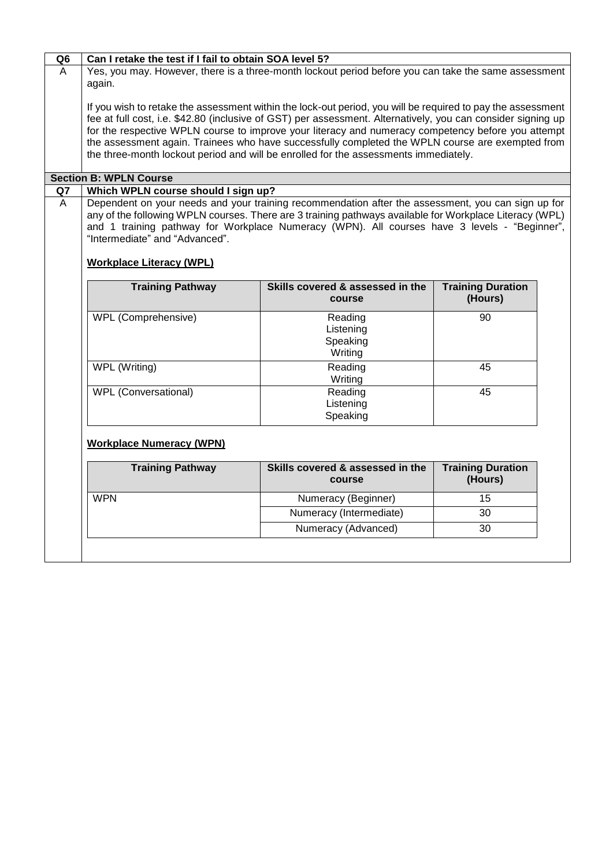| Q6                            | Can I retake the test if I fail to obtain SOA level 5?                                                                                                                                                                                                                                                                                                                                                                                                                                                                        |                                                                                                                                                                                                                                                                                                               |                                     |  |  |  |  |
|-------------------------------|-------------------------------------------------------------------------------------------------------------------------------------------------------------------------------------------------------------------------------------------------------------------------------------------------------------------------------------------------------------------------------------------------------------------------------------------------------------------------------------------------------------------------------|---------------------------------------------------------------------------------------------------------------------------------------------------------------------------------------------------------------------------------------------------------------------------------------------------------------|-------------------------------------|--|--|--|--|
| $\overline{A}$                | Yes, you may. However, there is a three-month lockout period before you can take the same assessment<br>again.                                                                                                                                                                                                                                                                                                                                                                                                                |                                                                                                                                                                                                                                                                                                               |                                     |  |  |  |  |
|                               | If you wish to retake the assessment within the lock-out period, you will be required to pay the assessment<br>fee at full cost, i.e. \$42.80 (inclusive of GST) per assessment. Alternatively, you can consider signing up<br>for the respective WPLN course to improve your literacy and numeracy competency before you attempt<br>the assessment again. Trainees who have successfully completed the WPLN course are exempted from<br>the three-month lockout period and will be enrolled for the assessments immediately. |                                                                                                                                                                                                                                                                                                               |                                     |  |  |  |  |
| <b>Section B: WPLN Course</b> |                                                                                                                                                                                                                                                                                                                                                                                                                                                                                                                               |                                                                                                                                                                                                                                                                                                               |                                     |  |  |  |  |
| Q7                            | Which WPLN course should I sign up?                                                                                                                                                                                                                                                                                                                                                                                                                                                                                           |                                                                                                                                                                                                                                                                                                               |                                     |  |  |  |  |
| A                             | "Intermediate" and "Advanced".<br><b>Workplace Literacy (WPL)</b>                                                                                                                                                                                                                                                                                                                                                                                                                                                             | Dependent on your needs and your training recommendation after the assessment, you can sign up for<br>any of the following WPLN courses. There are 3 training pathways available for Workplace Literacy (WPL)<br>and 1 training pathway for Workplace Numeracy (WPN). All courses have 3 levels - "Beginner", |                                     |  |  |  |  |
|                               | <b>Training Pathway</b>                                                                                                                                                                                                                                                                                                                                                                                                                                                                                                       | Skills covered & assessed in the<br>course                                                                                                                                                                                                                                                                    | <b>Training Duration</b><br>(Hours) |  |  |  |  |
|                               | <b>WPL (Comprehensive)</b>                                                                                                                                                                                                                                                                                                                                                                                                                                                                                                    | Reading<br>Listening<br>Speaking<br>Writing                                                                                                                                                                                                                                                                   | 90                                  |  |  |  |  |
|                               | WPL (Writing)                                                                                                                                                                                                                                                                                                                                                                                                                                                                                                                 | Reading<br>Writing                                                                                                                                                                                                                                                                                            | 45                                  |  |  |  |  |
|                               | WPL (Conversational)                                                                                                                                                                                                                                                                                                                                                                                                                                                                                                          | Reading<br>Listening<br>Speaking                                                                                                                                                                                                                                                                              | 45                                  |  |  |  |  |
|                               | <b>Workplace Numeracy (WPN)</b>                                                                                                                                                                                                                                                                                                                                                                                                                                                                                               |                                                                                                                                                                                                                                                                                                               |                                     |  |  |  |  |
|                               | <b>Training Pathway</b>                                                                                                                                                                                                                                                                                                                                                                                                                                                                                                       | Skills covered & assessed in the<br>course                                                                                                                                                                                                                                                                    | <b>Training Duration</b><br>(Hours) |  |  |  |  |
|                               | <b>WPN</b>                                                                                                                                                                                                                                                                                                                                                                                                                                                                                                                    | Numeracy (Beginner)                                                                                                                                                                                                                                                                                           | 15                                  |  |  |  |  |
|                               |                                                                                                                                                                                                                                                                                                                                                                                                                                                                                                                               | Numeracy (Intermediate)                                                                                                                                                                                                                                                                                       | 30                                  |  |  |  |  |
|                               |                                                                                                                                                                                                                                                                                                                                                                                                                                                                                                                               | Numeracy (Advanced)                                                                                                                                                                                                                                                                                           | 30                                  |  |  |  |  |
|                               |                                                                                                                                                                                                                                                                                                                                                                                                                                                                                                                               |                                                                                                                                                                                                                                                                                                               |                                     |  |  |  |  |